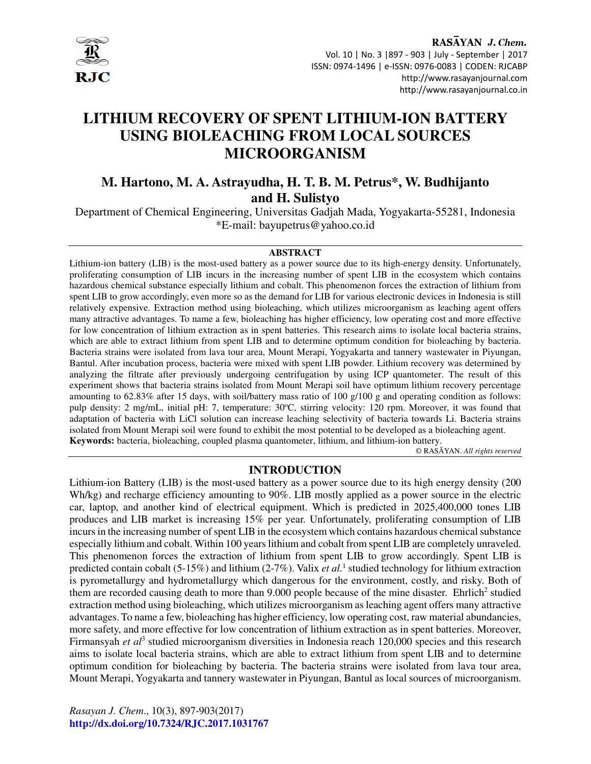

# **LITHIUM RECOVERY OF SPENT LITHIUM-ION BATTERY USING BIOLEACHING FROM LOCAL SOURCES MICROORGANISM**

# **M. Hartono, M. A. Astrayudha, H. T. B. M. Petrus\*, W. Budhijanto and H. Sulistyo**

Department of Chemical Engineering, Universitas Gadjah Mada, Yogyakarta-55281, Indonesia \*E-mail: bayupetrus@yahoo.co.id

#### **ABSTRACT**

Lithium-ion battery (LIB) is the most-used battery as a power source due to its high-energy density. Unfortunately, proliferating consumption of LIB incurs in the increasing number of spent LIB in the ecosystem which contains hazardous chemical substance especially lithium and cobalt. This phenomenon forces the extraction of lithium from spent LIB to grow accordingly, even more so as the demand for LIB for various electronic devices in Indonesia is still relatively expensive. Extraction method using bioleaching, which utilizes microorganism as leaching agent offers many attractive advantages. To name a few, bioleaching has higher efficiency, low operating cost and more effective for low concentration of lithium extraction as in spent batteries. This research aims to isolate local bacteria strains, which are able to extract lithium from spent LIB and to determine optimum condition for bioleaching by bacteria. Bacteria strains were isolated from lava tour area, Mount Merapi, Yogyakarta and tannery wastewater in Piyungan, Bantul. After incubation process, bacteria were mixed with spent LIB powder. Lithium recovery was determined by analyzing the filtrate after previously undergoing centrifugation by using ICP quantometer. The result of this experiment shows that bacteria strains isolated from Mount Merapi soil have optimum lithium recovery percentage amounting to 62.83% after 15 days, with soil/battery mass ratio of 100 g/100 g and operating condition as follows: pulp density: 2 mg/mL, initial pH: 7, temperature: 30°C, stirring velocity: 120 rpm. Moreover, it was found that adaptation of bacteria with LiCl solution can increase leaching selectivity of bacteria towards Li. Bacteria strains isolated from Mount Merapi soil were found to exhibit the most potential to be developed as a bioleaching agent. **Keywords:** bacteria, bioleaching, coupled plasma quantometer, lithium, and lithium-ion battery.

© RASĀYAN. *All rights reserved*

#### **INTRODUCTION**

Lithium-ion Battery (LIB) is the most-used battery as a power source due to its high energy density (200 Wh/kg) and recharge efficiency amounting to 90%. LIB mostly applied as a power source in the electric car, laptop, and another kind of electrical equipment. Which is predicted in 2025,400,000 tones LIB produces and LIB market is increasing 15% per year. Unfortunately, proliferating consumption of LIB incurs in the increasing number of spent LIB in the ecosystem which contains hazardous chemical substance especially lithium and cobalt. Within 100 years lithium and cobalt from spent LIB are completely unraveled. This phenomenon forces the extraction of lithium from spent LIB to grow accordingly. Spent LIB is predicted contain cobalt (5-15%) and lithium (2-7%). Valix *et al*.<sup>1</sup> studied technology for lithium extraction is pyrometallurgy and hydrometallurgy which dangerous for the environment, costly, and risky. Both of them are recorded causing death to more than  $9.000$  people because of the mine disaster. Ehrlich<sup>2</sup> studied extraction method using bioleaching, which utilizes microorganism as leaching agent offers many attractive advantages. To name a few, bioleaching has higher efficiency, low operating cost, raw material abundancies, more safety, and more effective for low concentration of lithium extraction as in spent batteries. Moreover, Firmansyah et al<sup>3</sup> studied microorganism diversities in Indonesia reach 120,000 species and this research aims to isolate local bacteria strains, which are able to extract lithium from spent LIB and to determine optimum condition for bioleaching by bacteria. The bacteria strains were isolated from lava tour area, Mount Merapi, Yogyakarta and tannery wastewater in Piyungan, Bantul as local sources of microorganism.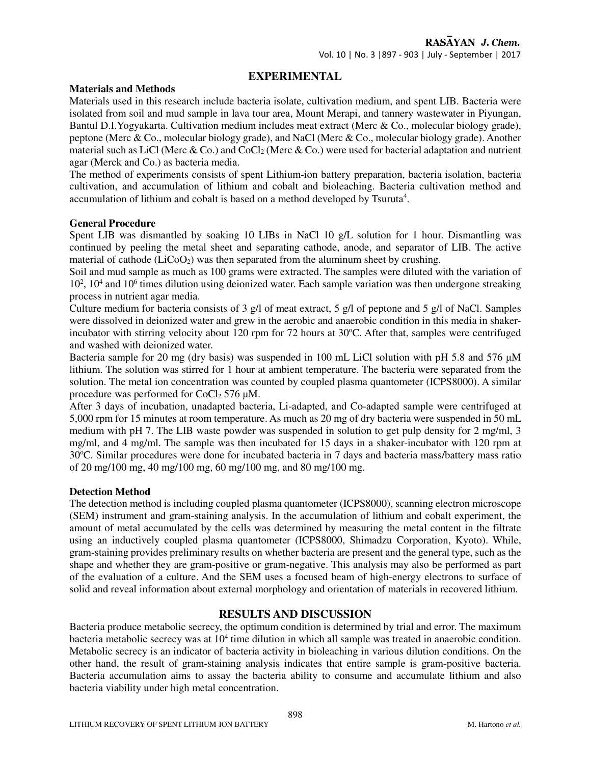### **EXPERIMENTAL**

#### **Materials and Methods**

Materials used in this research include bacteria isolate, cultivation medium, and spent LIB. Bacteria were isolated from soil and mud sample in lava tour area, Mount Merapi, and tannery wastewater in Piyungan, Bantul D.I.Yogyakarta. Cultivation medium includes meat extract (Merc & Co., molecular biology grade), peptone (Merc & Co., molecular biology grade), and NaCl (Merc & Co., molecular biology grade). Another material such as LiCl (Merc & Co.) and CoCl<sub>2</sub> (Merc & Co.) were used for bacterial adaptation and nutrient agar (Merck and Co.) as bacteria media.

The method of experiments consists of spent Lithium-ion battery preparation, bacteria isolation, bacteria cultivation, and accumulation of lithium and cobalt and bioleaching. Bacteria cultivation method and accumulation of lithium and cobalt is based on a method developed by Tsuruta<sup>4</sup>.

#### **General Procedure**

Spent LIB was dismantled by soaking 10 LIBs in NaCl 10 g/L solution for 1 hour. Dismantling was continued by peeling the metal sheet and separating cathode, anode, and separator of LIB. The active material of cathode  $(LICO<sub>2</sub>)$  was then separated from the aluminum sheet by crushing.

Soil and mud sample as much as 100 grams were extracted. The samples were diluted with the variation of 10<sup>2</sup>, 10<sup>4</sup> and 10<sup>6</sup> times dilution using deionized water. Each sample variation was then undergone streaking process in nutrient agar media.

Culture medium for bacteria consists of 3 g/l of meat extract, 5 g/l of peptone and 5 g/l of NaCl. Samples were dissolved in deionized water and grew in the aerobic and anaerobic condition in this media in shakerincubator with stirring velocity about 120 rpm for 72 hours at  $30^{\circ}$ C. After that, samples were centrifuged and washed with deionized water.

Bacteria sample for 20 mg (dry basis) was suspended in 100 mL LiCl solution with pH 5.8 and 576  $\mu$ M lithium. The solution was stirred for 1 hour at ambient temperature. The bacteria were separated from the solution. The metal ion concentration was counted by coupled plasma quantometer (ICPS8000). A similar procedure was performed for  $CoCl<sub>2</sub> 576$   $\mu$ M.

After 3 days of incubation, unadapted bacteria, Li-adapted, and Co-adapted sample were centrifuged at 5,000 rpm for 15 minutes at room temperature. As much as 20 mg of dry bacteria were suspended in 50 mL medium with pH 7. The LIB waste powder was suspended in solution to get pulp density for 2 mg/ml, 3 mg/ml, and 4 mg/ml. The sample was then incubated for 15 days in a shaker-incubator with 120 rpm at 30<sup>o</sup>C. Similar procedures were done for incubated bacteria in 7 days and bacteria mass/battery mass ratio of 20 mg/100 mg, 40 mg/100 mg, 60 mg/100 mg, and 80 mg/100 mg.

#### **Detection Method**

The detection method is including coupled plasma quantometer (ICPS8000), scanning electron microscope (SEM) instrument and gram-staining analysis. In the accumulation of lithium and cobalt experiment, the amount of metal accumulated by the cells was determined by measuring the metal content in the filtrate using an inductively coupled plasma quantometer (ICPS8000, Shimadzu Corporation, Kyoto). While, gram-staining provides preliminary results on whether bacteria are present and the general type, such as the shape and whether they are gram-positive or gram-negative. This analysis may also be performed as part of the evaluation of a culture. And the SEM uses a focused beam of high-energy electrons to surface of solid and reveal information about external morphology and orientation of materials in recovered lithium.

#### **RESULTS AND DISCUSSION**

Bacteria produce metabolic secrecy, the optimum condition is determined by trial and error. The maximum bacteria metabolic secrecy was at 10<sup>4</sup> time dilution in which all sample was treated in anaerobic condition. Metabolic secrecy is an indicator of bacteria activity in bioleaching in various dilution conditions. On the other hand, the result of gram-staining analysis indicates that entire sample is gram-positive bacteria. Bacteria accumulation aims to assay the bacteria ability to consume and accumulate lithium and also bacteria viability under high metal concentration.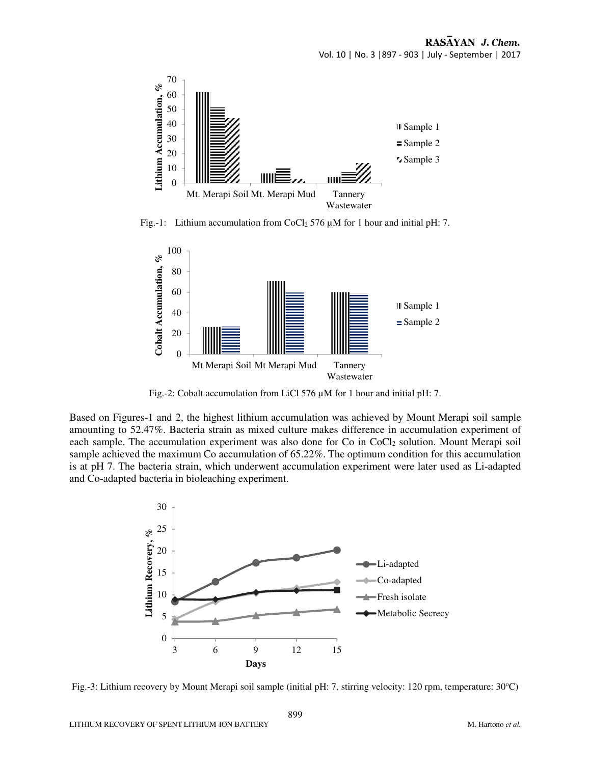

Fig.-1: Lithium accumulation from CoCl<sub>2</sub> 576  $\mu$ M for 1 hour and initial pH: 7.



Fig.-2: Cobalt accumulation from LiCl 576 µM for 1 hour and initial pH: 7.

Based on Figures-1 and 2, the highest lithium accumulation was achieved by Mount Merapi soil sample amounting to 52.47%. Bacteria strain as mixed culture makes difference in accumulation experiment of each sample. The accumulation experiment was also done for Co in  $CoCl<sub>2</sub>$  solution. Mount Merapi soil sample achieved the maximum Co accumulation of 65.22%. The optimum condition for this accumulation is at pH 7. The bacteria strain, which underwent accumulation experiment were later used as Li-adapted and Co-adapted bacteria in bioleaching experiment.



Fig.-3: Lithium recovery by Mount Merapi soil sample (initial pH: 7, stirring velocity: 120 rpm, temperature: 30°C)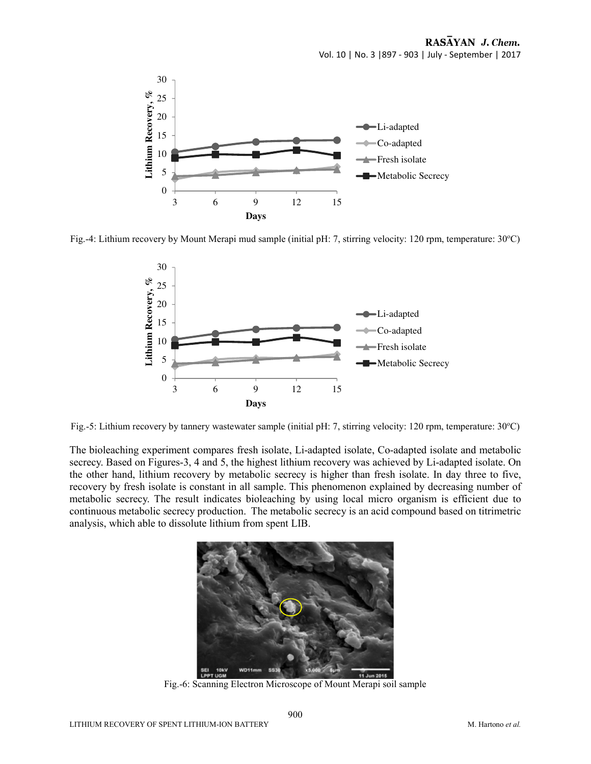

Fig.-4: Lithium recovery by Mount Merapi mud sample (initial pH: 7, stirring velocity: 120 rpm, temperature: 30°C)



Fig.-5: Lithium recovery by tannery wastewater sample (initial pH: 7, stirring velocity: 120 rpm, temperature: 30°C)

The bioleaching experiment compares fresh isolate, Li-adapted isolate, Co-adapted isolate and metabolic secrecy. Based on Figures-3, 4 and 5, the highest lithium recovery was achieved by Li-adapted isolate. On the other hand, lithium recovery by metabolic secrecy is higher than fresh isolate. In day three to five, recovery by fresh isolate is constant in all sample. This phenomenon explained by decreasing number of metabolic secrecy. The result indicates bioleaching by using local micro organism is efficient due to continuous metabolic secrecy production. The metabolic secrecy is an acid compound based on titrimetric analysis, which able to dissolute lithium from spent LIB.



Fig.-6: Scanning Electron Microscope of Mount Merapi soil sample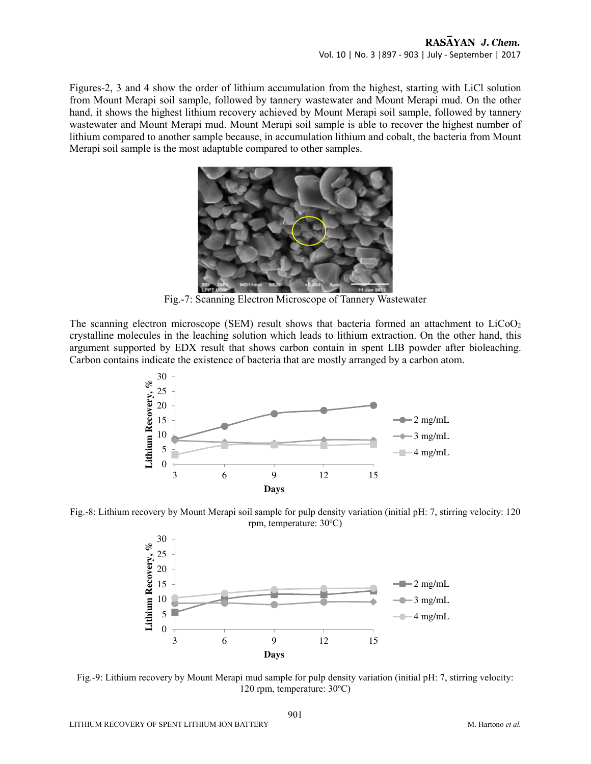Figures-2, 3 and 4 show the order of lithium accumulation from the highest, starting with LiCl solution from Mount Merapi soil sample, followed by tannery wastewater and Mount Merapi mud. On the other hand, it shows the highest lithium recovery achieved by Mount Merapi soil sample, followed by tannery wastewater and Mount Merapi mud. Mount Merapi soil sample is able to recover the highest number of lithium compared to another sample because, in accumulation lithium and cobalt, the bacteria from Mount Merapi soil sample is the most adaptable compared to other samples.



Fig.-7: Scanning Electron Microscope of Tannery Wastewater

The scanning electron microscope (SEM) result shows that bacteria formed an attachment to  $LiCoO<sub>2</sub>$ crystalline molecules in the leaching solution which leads to lithium extraction. On the other hand, this argument supported by EDX result that shows carbon contain in spent LIB powder after bioleaching. Carbon contains indicate the existence of bacteria that are mostly arranged by a carbon atom.



Fig.-8: Lithium recovery by Mount Merapi soil sample for pulp density variation (initial pH: 7, stirring velocity: 120 rpm, temperature: 30°C)



Fig.-9: Lithium recovery by Mount Merapi mud sample for pulp density variation (initial pH: 7, stirring velocity: 120 rpm, temperature: 30°C)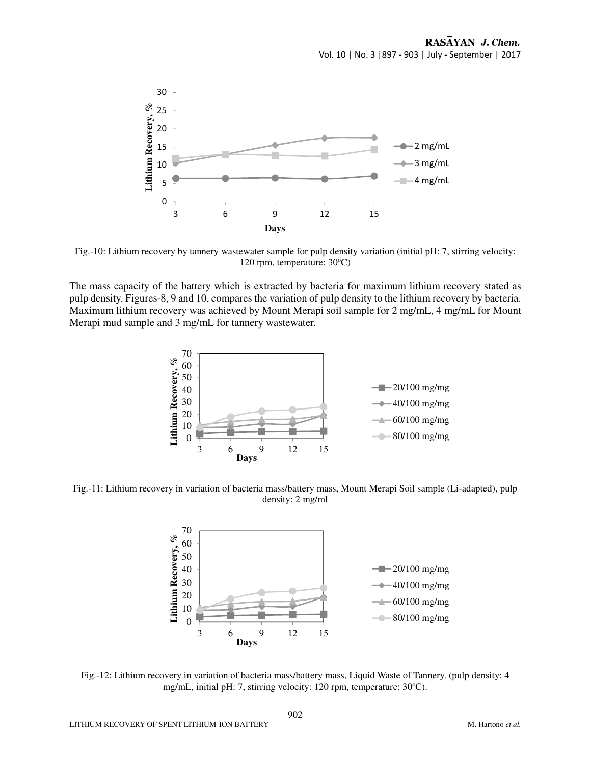

Fig.-10: Lithium recovery by tannery wastewater sample for pulp density variation (initial pH: 7, stirring velocity: 120 rpm, temperature:  $30^{\circ}$ C)

The mass capacity of the battery which is extracted by bacteria for maximum lithium recovery stated as pulp density. Figures-8, 9 and 10, compares the variation of pulp density to the lithium recovery by bacteria. Maximum lithium recovery was achieved by Mount Merapi soil sample for 2 mg/mL, 4 mg/mL for Mount Merapi mud sample and 3 mg/mL for tannery wastewater.



Fig.-11: Lithium recovery in variation of bacteria mass/battery mass, Mount Merapi Soil sample (Li-adapted), pulp density: 2 mg/ml



Fig.-12: Lithium recovery in variation of bacteria mass/battery mass, Liquid Waste of Tannery. (pulp density: 4 mg/mL, initial pH: 7, stirring velocity: 120 rpm, temperature: 30°C).